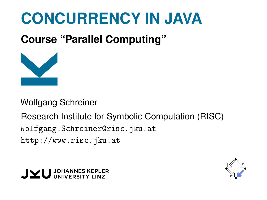# **CONCURRENCY IN JAVA**

**Course "Parallel Computing"**



Wolfgang Schreiner

Research Institute for Symbolic Computation (RISC) [Wolfgang.Schreiner@risc.jku.at](mailto:Wolfgang.Schreiner@risc.jku.at) <http://www.risc.jku.at>



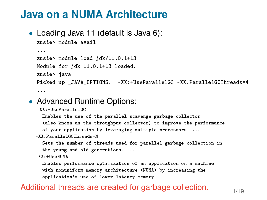• Loading Java 11 (default is Java 6):

```
zusie> module avail
...
zusie> module load jdk/11.0.1+13
Module for jdk 11.0.1+13 loaded.
zusie> java
Picked up _JAVA_OPTIONS: -XX: +UseParallelGC -XX: ParallelGCThreads=4
...
```
#### • Advanced Runtime Options:

```
-XX:+UseParallelGC
```
Enables the use of the parallel scavenge garbage collector (also known as the throughput collector) to improve the performance

of your application by leveraging multiple processors. ...

```
-XX:ParallelGCThreads=N
```
Sets the number of threads used for parallel garbage collection in the young and old generations. ...

-XX:+UseNUMA

Enables performance optimization of an application on a machine with nonuniform memory architecture (NUMA) by increasing the application's use of lower latency memory. ...

#### Additional threads are created for garbage collection.  $1/19$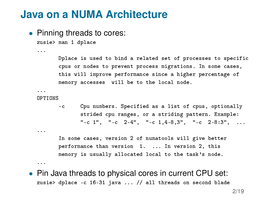• Pinning threads to cores:

zusie> man 1 dplace

Dplace is used to bind a related set of processes to specific cpus or nodes to prevent process migrations. In some cases, this will improve performance since a higher percentage of memory accesses will be to the local node.

... OPTIONS

...

...

...

-c Cpu numbers. Specified as a list of cpus, optionally strided cpu ranges, or a striding pattern. Example:  $"$ -c 1",  $"$ -c 2-4",  $"$ -c 1,4-8,3",  $"$ -c 2-8:3", ...

In some cases, version 2 of numatools will give better performance than version 1. ... In version 2, this memory is usually allocated local to the task's node.

• Pin Java threads to physical cores in current CPU set: zusie> dplace -c 16-31 java ... // all threads on second blade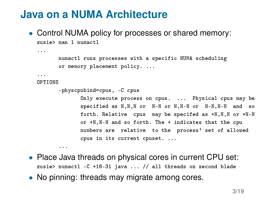• Control NUMA policy for processes or shared memory: zusie> man 1 numactl

```
numactl runs processes with a specific NUMA scheduling
or memory placement policy. ...
```

```
...
```
...

#### OPTIONS

...

```
physcpubind=cpus, -C cpus
```
Only execute process on cpus. ... Physical cpus may be specified as N,N,N or N-N or N,N-N or N-N,N-N and so forth. Relative cpus may be specifed as +N,N,N or +N-N or +N,N-N and so forth. The + indicates that the cpu numbers are relative to the process' set of allowed cpus in its current cpuset. ...

- Place Java threads on physical cores in current CPU set: zusie> numactl -C +16-31 java ... // all threads on second blade
- No pinning: threads may migrate among cores.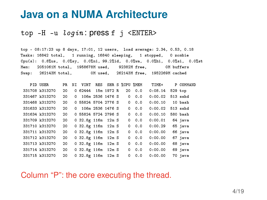#### top  $-H$  -u  $login$ : press f j <ENTER>

top - 08:17:23 up 8 days, 17:01, 12 users, load average: 2.34, 0.53, 0.18 Tasks: 16842 total, 1 running, 16840 sleeping, 1 stopped, 0 zombie Cpu(s): 0.8%us, 0.0%sy, 0.0%ni, 99.2%id, 0.0%wa, 0.0%hi, 0.0%si, 0.0%st Mem: 2051061M total, 1958678M used, 92382M free, 0M buffers Swap: 262143M total, 0M used, 262143M free, 1952269M cached

| PID USER       | PR | NΤ         | VIRT                |                  |            | RES SHR S %CPU %MEM |     | TIME+   | P COMMAND  |
|----------------|----|------------|---------------------|------------------|------------|---------------------|-----|---------|------------|
| 331708 k313270 | 20 |            | 0 62444             |                  | 15m 1972 R | 20                  | 0.0 | 0:08.14 | $529$ top  |
| 331467 k313270 | 20 | 0          |                     | 106m 2536 1476 S |            | 0                   | 0.0 | 0:00.02 | $513$ sshd |
| 331468 k313270 | 20 |            | 0 55824 5704 2776 S |                  |            | 0                   | 0.0 | 0:00.10 | 10 bash    |
| 331633 k313270 | 20 | $^{\circ}$ |                     | 106m 2536 1476 S |            | 0                   | 0.0 | 0:00.02 | $513$ sshd |
| 331634 k313270 | 20 |            | 0 55824 5724 2796 S |                  |            | 0                   | 0.0 | 0:00.10 | 580 bash   |
| 331709 k313270 | 20 |            | 0 32.8g 116m 12m S  |                  |            | 0                   | 0.0 | 0:00.01 | 64 java    |
| 331710 k313270 | 20 |            | 0 32.8g 116m 12m S  |                  |            | 0                   | 0.0 | 0:00.29 | 65 java    |
| 331711 k313270 | 20 |            | 0 32.8g 116m 12m S  |                  |            | 0                   | 0.0 | 0:00.00 | 66 java    |
| 331712 k313270 | 20 |            | $0.32.8g$ 116m      |                  | 12m S      | 0                   | 0.0 | 0:00.00 | 67 java    |
| 331713 k313270 | 20 |            | $0.32.8g$ 116m      |                  | 12m S      | 0                   | 0.0 | 0:00.00 | 68 java    |
| 331714 k313270 | 20 |            | 0 32.8g 116m 12m S  |                  |            | 0                   | 0.0 | 0:00.00 | 69 java    |
| 331715 k313270 | 20 |            | $0.32.8g$ 116m      |                  | 12m S      | 0                   | 0.0 | 0:00.00 | 70 java    |

Column "P": the core executing the thread.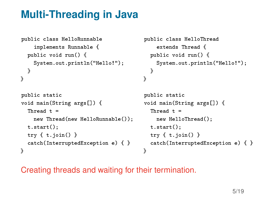## **Multi-Threading in Java**

```
public class HelloRunnable
    implements Runnable {
  public void run() {
   System.out.println("Hello!");
 }
}
```

```
public static
void main(String args[]) {
  Thread t =new Thread(new HelloRunnable());
 t.start();
 try \{ t.join() \}catch(InterruptedException e) { }
}
```

```
public class HelloThread
    extends Thread {
  public void run() {
    System.out.println("Hello!");
  }
}
```

```
public static
void main(String args[]) {
  Thread t =new HelloThread();
  t.start();
  try \{ t.join() \}catch(InterruptedException e) { }
}
```
Creating threads and waiting for their termination.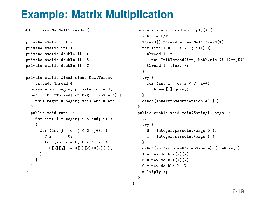## **Example: Matrix Multiplication**

}

public class MatMultThreads {

```
private static int N;
private static int T;
private static double[][] A;
private static double[][] B;
private static double[][] C;
private static final class MultThread
    extends Thread {
  private int begin; private int end;
  public MultThread(int begin, int end) {
   this.begin = begin; this.end = end;
  }
  public void run() {
    for (int i = \text{begin}; i < \text{end}; i++){
      for (int i = 0; i < N; i++) {
        C[i][i] = 0;
        for (int k = 0; k < N; k++)
          C[i][i] += A[i][k]*B[k][i];}
   }
 }
}
```

```
private static void multiply() {
  int n = N/T;
  Thread[] thread = new MultThread[T];
  for (int i = 0; i < T; i++) {
    thread[i] =
      new MultThread(i*n, Math.min((i+1)*n,N));
    thread[i].start();
  }
  try {
    for (int i = 0; i < T; i++)thread[i].join();
  }
  catch(InterruptedException e) { }
}
public static void main(String[] args) {
  ...
  try {
    N = Integer.parseInt(args[0]);
    T = Integer.parseInt(args[1]);
  }
  catch(NumberFormatException e) { return; }
  A = new double[N][N];B = new double[N][N];C = new double[NI[N];
  multiply();
}
```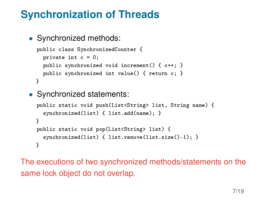# **Synchronization of Threads**

```
• Svnchronized methods:
```

```
public class SynchronizedCounter {
  private int c = 0;
  public synchronized void increment() { c++; }
  public synchronized int value() { return c; }
}
```
• Synchronized statements:

```
public static void push(List<String> list, String name) {
  synchronized(list) { list.add(name); }
}
public static void pop(List<String> list) {
  synchronized(list) { list.remove(list.size()-1); }
}
```
The executions of two synchronized methods/statements on the same lock object do not overlap.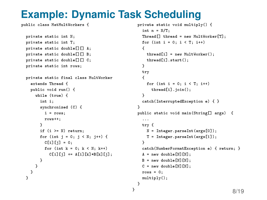# **Example: Dynamic Task Scheduling**

public class MatMultWorkers {

```
private static int N;
private static int T;
private static double[][] A;
private static double[][] B;
private static double<sup>[1][]</sup> C;
private static int rows;
```

```
private static final class MultWorker
  extends Thread {
  public void run() {
    while (true) {
      int i;
      synchronized (C) {
        i = rows;
        rows++;
      }
      if (i >= N) return;
      for (int i = 0; j < N; i++)C[i][i] = 0;
        for (int k = 0; k < N; k++)
          C[i][i] += A[i][k] *B[k][i];
      }
    }
```
} }

```
private static void multiply() {
   int n = N/T;
   Thread[] thread = new MultWorker[T];
   for (int i = 0; i < T; i+1)
   {
     thread[i] = new MultWorker();
     thread[i].start();
   }
   try
   {
     for (int i = 0; i < T; i+1)
       thread[i].join();
   }
   catch(InterruptedException e) { }
 }
 public static void main(String[] args) {
   ...
   try {
     N = Integer.parseInt(args[0]);
     T = Integer.parseInt(args[1]);
   }
   catch(NumberFormatException e) { return; }
   A = new double[N][N];B = new double[N][N];
   C = new double[N][N];rows = 0;
   multiply();
 }
} 8/19
```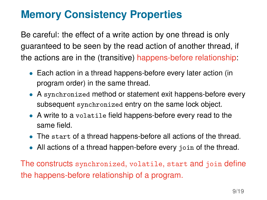# **Memory Consistency Properties**

Be careful: the effect of a write action by one thread is only guaranteed to be seen by the read action of another thread, if the actions are in the (transitive) happens-before relationship:

- Each action in a thread happens-before every later action (in program order) in the same thread.
- A synchronized method or statement exit happens-before every subsequent synchronized entry on the same lock object.
- A write to a volatile field happens-before every read to the same field.
- The start of a thread happens-before all actions of the thread.
- All actions of a thread happen-before every join of the thread.

The constructs synchronized, volatile, start and join define the happens-before relationship of a program.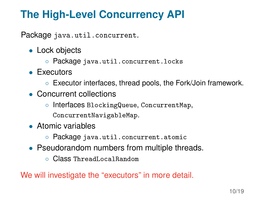# **The High-Level Concurrency API**

Package java.util.concurrent.

- Lock objects
	- Package java.util.concurrent.locks
- Executors
	- Executor interfaces, thread pools, the Fork/Join framework.
- Concurrent collections
	- Interfaces BlockingQueue, ConcurrentMap,
		- ConcurrentNavigableMap.
- Atomic variables
	- Package java.util.concurrent.atomic
- Pseudorandom numbers from multiple threads.
	- Class ThreadLocalRandom

We will investigate the "executors" in more detail.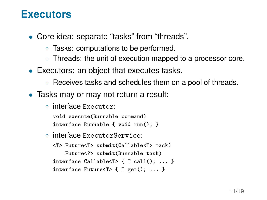#### **Executors**

- Core idea: separate "tasks" from "threads".
	- Tasks: computations to be performed.
	- Threads: the unit of execution mapped to a processor core.
- Executors: an object that executes tasks.
	- Receives tasks and schedules them on a pool of threads.
- Tasks may or may not return a result:
	- interface Executor:

```
void execute(Runnable command)
interface Runnable { void run(); }
```
◦ interface ExecutorService:

```
<T> Future<T> submit(Callable<T> task)
    Future<?> submit(Runnable task)
interface Callable<T> \{T \text{ call}() : ... \}interface Future<T> { T get(); ... }
```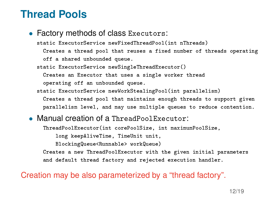#### **Thread Pools**

#### • Factory methods of class Executors:

static ExecutorService newFixedThreadPool(int nThreads)

Creates a thread pool that reuses a fixed number of threads operating off a shared unbounded queue.

static ExecutorService newSingleThreadExecutor()

Creates an Executor that uses a single worker thread

operating off an unbounded queue.

static ExecutorService newWorkStealingPool(int parallelism)

Creates a thread pool that maintains enough threads to support given parallelism level, and may use multiple queues to reduce contention.

#### • Manual creation of a ThreadPoolExecutor:

ThreadPoolExecutor(int corePoolSize, int maximumPoolSize,

long keepAliveTime, TimeUnit unit,

BlockingQueue<Runnable> workQueue)

Creates a new ThreadPoolExecutor with the given initial parameters and default thread factory and rejected execution handler.

Creation may be also parameterized by a "thread factory".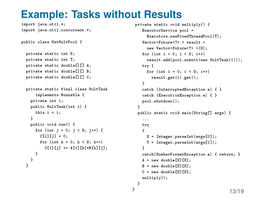### **Example: Tasks without Results**

}

```
import java.util.*;
import java.util.concurrent.*;
public class MatMultPool {
 private static int N;
 private static int T;
 private static double[][] A;
 private static double[][] B;
 private static double[][] C;
 private static final class MultTask
      implements Runnable {
    private int i;
    public MultTask(int i) {
     this.i = i;
    }
    public void run() {
      for (int i = 0; i < N; i++) {
        C[i][i] = 0;for (int k = 0; k < N; k++)
          C[i][i] += A[i][k]*B[k][i];
     }
   }
 }
```

```
private static void multiply() {
   ExecutorService pool =
     Executors.newFixedThreadPool(T);
   VectorCHuturac?) > result =
     new Vector<Future<?> >(N);
   for (int i = 0; i < N; i+1)
     result.add(pool.submit(new MultTask(i)));
   try {
     for (int i = 0; i < N; i++)result.get(i).get();
   }
   catch (InterruptedException e) { }
   catch (ExecutionException e) { }
   pool.shutdown();
 }
public static void main(String[] args) {
   ...
   try
   {
     N = Integer.parseInt(args[0]);
     T = Integer.parseInt(args[1]);
   }
   catch(NumberFormatException e) { return; }
   A = new double[N][N];B = new double[N][N];C = new double[N][N];multiply();
}
                                         13/19
```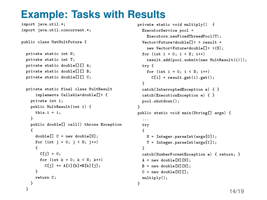## **Example: Tasks with Results**

```
import java.util.*;
import java.util.concurrent.*;
public class MatMultFuture {
 private static int N;
 private static int T;
 private static double[][] A;
 private static double[][] B;
 private static double[][] C;
 private static final class MultResult
      implements Callable<double[]> {
    private int i;
    public MultResult(int i) {
      this.i = i;
    }
    public double[] call() throws Exception
    {
      double[] C = new double[N];
      for (int i = 0; j < N; j++){
        C[i] = 0;for (int k = 0; k < N; k++)
          C[j] += A[i][k]*B[k][j];}
      return C;
    }
  }
```

```
private static void multiply() {
  ExecutorService pool =
    Executors.newFixedThreadPool(T);
  VectorCHutureddouble[] \geq 2 result =
    new Vector<Future<double[]> >(N);
  for (int i = 0; i \lt N; i^{++})
    result.add(pool.submit(new MultResult(i)));
  try {
   for (int i = 0; i < N; i++)C[i] = result.get(i).get();
  }
  catch(InterruptedException e) { }
  catch(ExecutionException e) { }
  pool.shutdown();
}
public static void main(String[] args) {
  ...
  try
  {
    N = Integer.parseInt(args[0]);
    T = Integer.parseInt(args[1]);
  }
  catch(NumberFormatException e) { return; }
  A = new double[N][N];B = new double[N][N];C = new double[N][];
  multiply();
}
```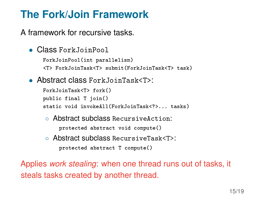# **The Fork/Join Framework**

A framework for recursive tasks.

• Class ForkJoinPool

```
ForkJoinPool(int parallelism)
```

```
<T> ForkJoinTask<T> submit(ForkJoinTask<T> task)
```
• Abstract class ForkJoinTask<T>:

```
ForkJoinTask<T> fork()
public final T join()
static void invokeAll(ForkJoinTask<?>... tasks)
```
- Abstract subclass RecursiveAction: protected abstract void compute()
- Abstract subclass RecursiveTask<T>: protected abstract T compute()

Applies *work stealing*: when one thread runs out of tasks, it steals tasks created by another thread.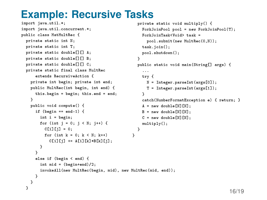# **Example: Recursive Tasks**

```
import java.util.*;
import java.util.concurrent.*;
public class MatMultRec {
 private static int N;
 private static int T;
 private static double[][] A;
 private static double[][] B;
 private static double[][] C;
 private static final class MultRec
      extends RecursiveAction {
    private int begin; private int end;
    public MultRec(int begin, int end) {
      this.begin = begin; this.end = end;
    }
    public void compute() {
     if (begin == end-1) {
        int i = begin;
        for (int i = 0; i < N; i++) {
          C[i][i] = 0;for (int k = 0; k < N; k++)
            C[i][i] += A[i][k]*B[k][i];
        }
      }
      else if (begin < end) {
        int mid = (begin+end)/2;
        invokeAll(new MultRec(begin, mid), new MultRec(mid, end));
      }
    }
  }
                                                   }
                                                     ...
                                                     try {
                                                     }
                                                     multiply();
                                                   }
                                                 }
```

```
private static void multiply() {
  ForkJoinPool pool = new ForkJoinPool(T);
  ForkJoinTask<Void> task =
    pool.submit(new MultRec(0,N));
  task.join();
  pool.shutdown();
public static void main(String[] args) {
    N = Integer.parseInt(args[0]);
    T = Integer.parseInt(args[1]);
  catch(NumberFormatException e) { return; }
  A = new double[N][N];B = new double[N][N];
  C = new double[N][N];
```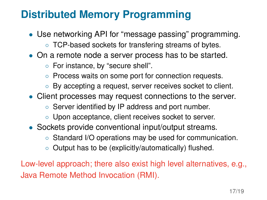# **Distributed Memory Programming**

- Use networking API for "message passing" programming.
	- TCP-based sockets for transfering streams of bytes.
- On a remote node a server process has to be started.
	- For instance, by "secure shell".
	- Process waits on some port for connection requests.
	- By accepting a request, server receives socket to client.
- Client processes may request connections to the server.
	- Server identified by IP address and port number.
	- Upon acceptance, client receives socket to server.
- Sockets provide conventional input/output streams.
	- Standard I/O operations may be used for communication.
	- Output has to be (explicitly/automatically) flushed.

Low-level approach; there also exist high level alternatives, e.g., Java Remote Method Invocation (RMI).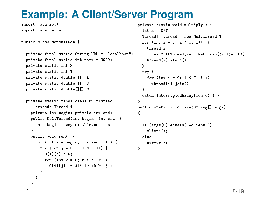## **Example: A Client/Server Program**

import java.io.\*; import java.net.\*;

```
public class MatMultNet {
```

```
private final static String URL = "localhost";
private final static int port = 9999;
private static int N;
private static int T;
private static double[][] A;
private static double[][] B;
private static double<sup>[][]</sup> C;
```

```
private static final class MultThread
    extends Thread {
  private int begin; private int end;
  public MultThread(int begin, int end) {
    this.begin = begin; this.end = end;
  }
  public void run() {
    for (int i = begin; i < end; i++) {
      for (int i = 0; i < N; i+1) {
        C[i][i] = 0;
        for (int k = 0; k < N; k++)
          C[i][i] += A[i][k] *B[k][i];}
   }
 }
}
```

```
private static void multiply() {
  int n = N/T;
  Thread[] thread = new MultThread[T];
  for (int i = 0; i < T; i++) {
    thread[i] =
      new MultThread(i*n, Math.min((i+1)*n,N));
    thread[i].start();
  }
 try {
   for (int i = 0; i < T; i++)thread[i].join();
  }
  catch(InterruptedException e) { }
}
public static void main(String[] args)
{
  ...
  if (args[0].equals("-client"))
    client();
  else
    server();
}
```